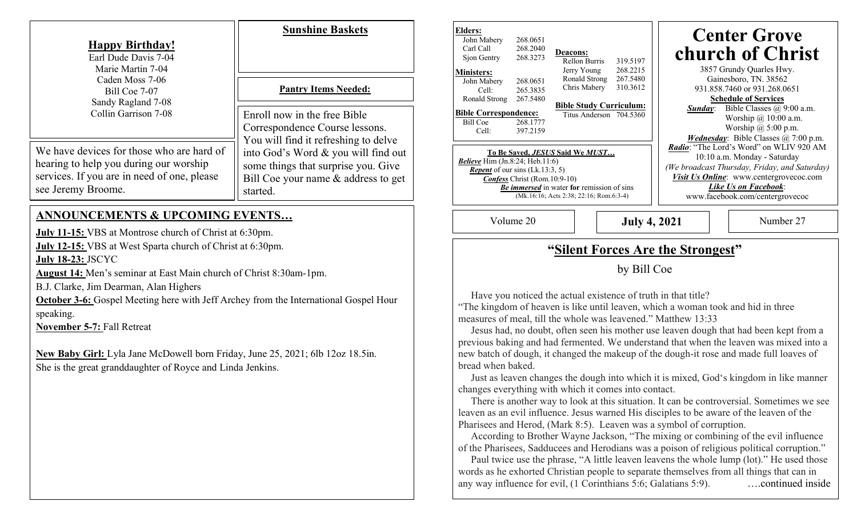| <b>Happy Birthday!</b><br>Earl Dude Davis 7-04<br>Marie Martin 7-04<br>Caden Moss 7-06<br>Bill Coe 7-07<br>Sandy Ragland 7-08<br>Collin Garrison 7-08                                                                                                                                                                         | <b>Sunshine Baskets</b><br><b>Pantry Items Needed:</b><br>Enroll now in the free Bible<br>Correspondence Course lessons.<br>You will find it refreshing to delve | <b>Elders:</b><br>John Mabery<br>268.0651<br>268.2040<br>Carl Call<br><b>Deacons:</b><br>268.3273<br>Sjon Gentry<br>Rellon Burris<br>319.5197<br>268.2215<br>Jerry Young<br><b>Ministers:</b><br>Ronald Strong<br>267.5480<br>John Mabery<br>268.0651<br>Chris Mabery<br>310.3612<br>265.3835<br>Cell:<br>Ronald Strong<br>267.5480<br><b>Bible Study Curriculum:</b><br><b>Bible Correspondence:</b><br>Titus Anderson 704.5360<br>268.1777<br><b>Bill Coe</b><br>397.2159<br>Cell:<br>To Be Saved, JESUS Said We MUST<br>Believe $\overline{\text{Him (Jn.8:24; Heb.11:6)}}$<br><i>Repent</i> of our sins $(Lk.13:3, 5)$<br><b>Confess</b> Christ (Rom.10:9-10)<br><b>Be immersed</b> in water for remission of sins<br>(Mk.16:16; Acts 2:38; 22:16; Rom.6:3-4) |                     | <b>Center Grove</b><br>church of Christ<br>3857 Grundy Quarles Hwy.<br>Gainesboro, TN. 38562<br>931.858.7460 or 931.268.0651<br><b>Schedule of Services</b><br>Sunday: Bible Classes @ 9:00 a.m.<br>Worship @ 10:00 a.m.<br>Worship @ 5:00 p.m.<br><i>Wednesday</i> : Bible Classes @ 7:00 p.m.<br>Radio: "The Lord's Word" on WLIV 920 AM<br>10:10 a.m. Monday - Saturday<br>(We broadcast Thursday, Friday, and Saturday)<br>Visit Us Online: www.centergrovecoc.com<br>Like Us on Facebook:<br>www.facebook.com/centergrovecoc |                                                                                                                                                                                                           |
|-------------------------------------------------------------------------------------------------------------------------------------------------------------------------------------------------------------------------------------------------------------------------------------------------------------------------------|------------------------------------------------------------------------------------------------------------------------------------------------------------------|-------------------------------------------------------------------------------------------------------------------------------------------------------------------------------------------------------------------------------------------------------------------------------------------------------------------------------------------------------------------------------------------------------------------------------------------------------------------------------------------------------------------------------------------------------------------------------------------------------------------------------------------------------------------------------------------------------------------------------------------------------------------|---------------------|-----------------------------------------------------------------------------------------------------------------------------------------------------------------------------------------------------------------------------------------------------------------------------------------------------------------------------------------------------------------------------------------------------------------------------------------------------------------------------------------------------------------------------------|-----------------------------------------------------------------------------------------------------------------------------------------------------------------------------------------------------------|
| We have devices for those who are hard of<br>hearing to help you during our worship<br>services. If you are in need of one, please<br>see Jeremy Broome.                                                                                                                                                                      | into God's Word & you will find out<br>some things that surprise you. Give<br>Bill Coe your name & address to get<br>started.                                    |                                                                                                                                                                                                                                                                                                                                                                                                                                                                                                                                                                                                                                                                                                                                                                   |                     |                                                                                                                                                                                                                                                                                                                                                                                                                                                                                                                                   |                                                                                                                                                                                                           |
| <b>ANNOUNCEMENTS &amp; UPCOMING EVENTS</b><br><b>July 11-15:</b> VBS at Montrose church of Christ at 6:30pm.<br>July 12-15: VBS at West Sparta church of Christ at 6:30pm.<br><b>July 18-23: JSCYC</b><br><b>August 14:</b> Men's seminar at East Main church of Christ 8:30am-1pm.<br>B.J. Clarke, Jim Dearman, Alan Highers |                                                                                                                                                                  | Volume 20                                                                                                                                                                                                                                                                                                                                                                                                                                                                                                                                                                                                                                                                                                                                                         | <b>July 4, 2021</b> |                                                                                                                                                                                                                                                                                                                                                                                                                                                                                                                                   | Number 27                                                                                                                                                                                                 |
|                                                                                                                                                                                                                                                                                                                               |                                                                                                                                                                  | "Silent Forces Are the Strongest"<br>by Bill Coe                                                                                                                                                                                                                                                                                                                                                                                                                                                                                                                                                                                                                                                                                                                  |                     |                                                                                                                                                                                                                                                                                                                                                                                                                                                                                                                                   |                                                                                                                                                                                                           |
|                                                                                                                                                                                                                                                                                                                               |                                                                                                                                                                  |                                                                                                                                                                                                                                                                                                                                                                                                                                                                                                                                                                                                                                                                                                                                                                   |                     |                                                                                                                                                                                                                                                                                                                                                                                                                                                                                                                                   |                                                                                                                                                                                                           |
| New Baby Girl: Lyla Jane McDowell born Friday, June 25, 2021; 6lb 12oz 18.5in.<br>She is the great granddaughter of Royce and Linda Jenkins.                                                                                                                                                                                  |                                                                                                                                                                  | previous baking and had fermented. We understand that when the leaven was mixed into a<br>new batch of dough, it changed the makeup of the dough-it rose and made full loaves of<br>bread when baked.<br>Just as leaven changes the dough into which it is mixed, God's kingdom in like manner                                                                                                                                                                                                                                                                                                                                                                                                                                                                    |                     |                                                                                                                                                                                                                                                                                                                                                                                                                                                                                                                                   |                                                                                                                                                                                                           |
|                                                                                                                                                                                                                                                                                                                               |                                                                                                                                                                  | changes everything with which it comes into contact.<br>leaven as an evil influence. Jesus warned His disciples to be aware of the leaven of the<br>Pharisees and Herod, (Mark 8:5). Leaven was a symbol of corruption.<br>According to Brother Wayne Jackson, "The mixing or combining of the evil influence<br>of the Pharisees, Sadducees and Herodians was a poison of religious political corruption."<br>words as he exhorted Christian people to separate themselves from all things that can in<br>any way influence for evil, (1 Corinthians 5:6; Galatians 5:9).                                                                                                                                                                                        |                     |                                                                                                                                                                                                                                                                                                                                                                                                                                                                                                                                   | There is another way to look at this situation. It can be controversial. Sometimes we see<br>Paul twice use the phrase, "A little leaven leavens the whole lump (lot)." He used those<br>continued inside |